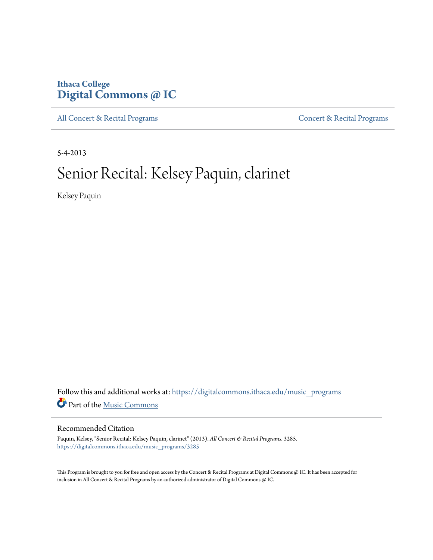## **Ithaca College [Digital Commons @ IC](https://digitalcommons.ithaca.edu?utm_source=digitalcommons.ithaca.edu%2Fmusic_programs%2F3285&utm_medium=PDF&utm_campaign=PDFCoverPages)**

[All Concert & Recital Programs](https://digitalcommons.ithaca.edu/music_programs?utm_source=digitalcommons.ithaca.edu%2Fmusic_programs%2F3285&utm_medium=PDF&utm_campaign=PDFCoverPages) **[Concert & Recital Programs](https://digitalcommons.ithaca.edu/som_programs?utm_source=digitalcommons.ithaca.edu%2Fmusic_programs%2F3285&utm_medium=PDF&utm_campaign=PDFCoverPages)** 

5-4-2013

# Senior Recital: Kelsey Paquin, clarinet

Kelsey Paquin

Follow this and additional works at: [https://digitalcommons.ithaca.edu/music\\_programs](https://digitalcommons.ithaca.edu/music_programs?utm_source=digitalcommons.ithaca.edu%2Fmusic_programs%2F3285&utm_medium=PDF&utm_campaign=PDFCoverPages) Part of the [Music Commons](http://network.bepress.com/hgg/discipline/518?utm_source=digitalcommons.ithaca.edu%2Fmusic_programs%2F3285&utm_medium=PDF&utm_campaign=PDFCoverPages)

#### Recommended Citation

Paquin, Kelsey, "Senior Recital: Kelsey Paquin, clarinet" (2013). *All Concert & Recital Programs*. 3285. [https://digitalcommons.ithaca.edu/music\\_programs/3285](https://digitalcommons.ithaca.edu/music_programs/3285?utm_source=digitalcommons.ithaca.edu%2Fmusic_programs%2F3285&utm_medium=PDF&utm_campaign=PDFCoverPages)

This Program is brought to you for free and open access by the Concert & Recital Programs at Digital Commons @ IC. It has been accepted for inclusion in All Concert & Recital Programs by an authorized administrator of Digital Commons @ IC.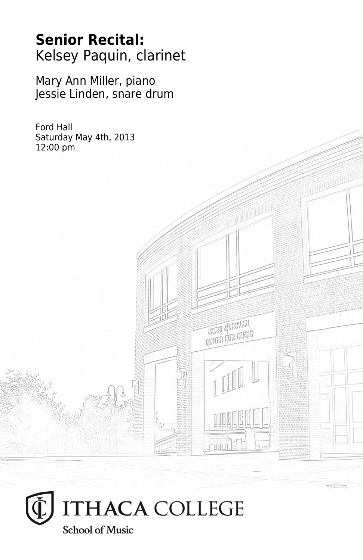## **Senior Recital:** Kelsey Paquin, clarinet

Mary Ann Miller, piano Jessie Linden, snare drum

**THES JUVALATA CRITER FOR LIVEIG** 

Ford Hall Saturday May 4th, 2013 12:00 pm